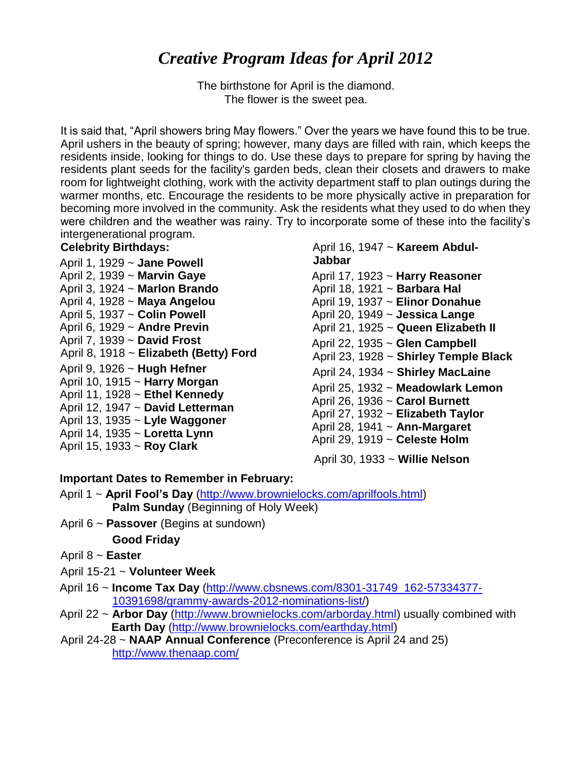# *Creative Program Ideas for April 2012*

The birthstone for April is the diamond. The flower is the sweet pea.

It is said that, "April showers bring May flowers." Over the years we have found this to be true. April ushers in the beauty of spring; however, many days are filled with rain, which keeps the residents inside, looking for things to do. Use these days to prepare for spring by having the residents plant seeds for the facility's garden beds, clean their closets and drawers to make room for lightweight clothing, work with the activity department staff to plan outings during the warmer months, etc. Encourage the residents to be more physically active in preparation for becoming more involved in the community. Ask the residents what they used to do when they were children and the weather was rainy. Try to incorporate some of these into the facility's intergenerational program.

#### **Celebrity Birthdays:**

- April 1, 1929 ~ **Jane Powell**
- April 2, 1939 ~ **Marvin Gaye**
- April 3, 1924 ~ **Marlon Brando**
- April 4, 1928 ~ **Maya Angelou**
- April 5, 1937 ~ **Colin Powell**
- April 6, 1929 ~ **Andre Previn**
- April 7, 1939 ~ **David Frost**
- April 8, 1918 ~ **Elizabeth (Betty) Ford**
- April 9, 1926 ~ **Hugh Hefner**
- April 10, 1915 ~ **Harry Morgan**
- April 11, 1928 ~ **Ethel Kennedy**
- April 12, 1947 ~ **David Letterman**
- April 13, 1935 ~ **Lyle Waggoner**
- April 14, 1935 ~ **Loretta Lynn**
- April 15, 1933 ~ **Roy Clark**

#### April 16, 1947 ~ **Kareem Abdul-Jabbar**

- April 17, 1923 ~ **Harry Reasoner** April 18, 1921 ~ **Barbara Hal** April 19, 1937 ~ **Elinor Donahue** April 20, 1949 ~ **Jessica Lange** April 21, 1925 ~ **Queen Elizabeth II** April 22, 1935 ~ **Glen Campbell** April 23, 1928 ~ **Shirley Temple Black** April 24, 1934 ~ **Shirley MacLaine** April 25, 1932 ~ **Meadowlark Lemon** April 26, 1936 ~ **Carol Burnett** April 27, 1932 ~ **Elizabeth Taylor**
- April 28, 1941 ~ **Ann-Margaret**
- April 29, 1919 ~ **Celeste Holm**

April 30, 1933 ~ **Willie Nelson**

#### **Important Dates to Remember in February:**

- April 1 ~ **April Fool's Day** [\(http://www.brownielocks.com/aprilfools.html\)](http://www.brownielocks.com/aprilfools.html) **Palm Sunday** (Beginning of Holy Week)
- April 6 ~ **Passover** (Begins at sundown)

**Good Friday** 

- April 8 ~ **Easter**
- April 15-21 ~ **Volunteer Week**
- April 16 ~ **Income Tax Day** [\(http://www.cbsnews.com/8301-31749\\_162-57334377-](http://www.cbsnews.com/8301-31749_162-57334377-10391698/grammy-awards-2012-nominations-list/) [10391698/grammy-awards-2012-nominations-list/\)](http://www.cbsnews.com/8301-31749_162-57334377-10391698/grammy-awards-2012-nominations-list/)
- April 22 ~ **Arbor Day** [\(http://www.brownielocks.com/arborday.html\)](http://www.brownielocks.com/arborday.html) usually combined with **Earth Day** [\(http://www.brownielocks.com/earthday.html\)](http://www.brownielocks.com/earthday.html)
- April 24-28 ~ **NAAP Annual Conference** (Preconference is April 24 and 25) <http://www.thenaap.com/>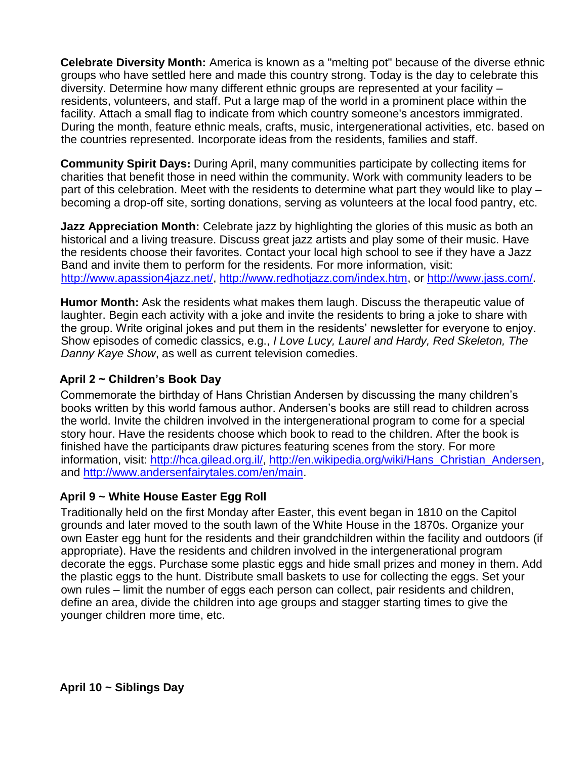**Celebrate Diversity Month:** America is known as a "melting pot" because of the diverse ethnic groups who have settled here and made this country strong. Today is the day to celebrate this diversity. Determine how many different ethnic groups are represented at your facility – residents, volunteers, and staff. Put a large map of the world in a prominent place within the facility. Attach a small flag to indicate from which country someone's ancestors immigrated. During the month, feature ethnic meals, crafts, music, intergenerational activities, etc. based on the countries represented. Incorporate ideas from the residents, families and staff.

**Community Spirit Days:** During April, many communities participate by collecting items for charities that benefit those in need within the community. Work with community leaders to be part of this celebration. Meet with the residents to determine what part they would like to play – becoming a drop-off site, sorting donations, serving as volunteers at the local food pantry, etc.

**Jazz Appreciation Month:** Celebrate jazz by highlighting the glories of this music as both an historical and a living treasure. Discuss great jazz artists and play some of their music. Have the residents choose their favorites. Contact your local high school to see if they have a Jazz Band and invite them to perform for the residents. For more information, visit: [http://www.apassion4jazz.net/,](http://www.apassion4jazz.net/) [http://www.redhotjazz.com/index.htm,](http://www.redhotjazz.com/index.htm) or [http://www.jass.com/.](http://www.jass.com/)

**Humor Month:** Ask the residents what makes them laugh. Discuss the therapeutic value of laughter. Begin each activity with a joke and invite the residents to bring a joke to share with the group. Write original jokes and put them in the residents' newsletter for everyone to enjoy. Show episodes of comedic classics, e.g., *I Love Lucy, Laurel and Hardy, Red Skeleton, The Danny Kaye Show*, as well as current television comedies.

#### **April 2 ~ Children's Book Day**

Commemorate the birthday of Hans Christian Andersen by discussing the many children's books written by this world famous author. Andersen's books are still read to children across the world. Invite the children involved in the intergenerational program to come for a special story hour. Have the residents choose which book to read to the children. After the book is finished have the participants draw pictures featuring scenes from the story. For more information, visit: [http://hca.gilead.org.il/,](http://hca.gilead.org.il/) [http://en.wikipedia.org/wiki/Hans\\_Christian\\_Andersen,](http://en.wikipedia.org/wiki/Hans_Christian_Andersen) and [http://www.andersenfairytales.com/en/main.](http://www.andersenfairytales.com/en/main)

#### **April 9 ~ White House Easter Egg Roll**

Traditionally held on the first Monday after Easter, this event began in 1810 on the Capitol grounds and later moved to the south lawn of the White House in the 1870s. Organize your own Easter egg hunt for the residents and their grandchildren within the facility and outdoors (if appropriate). Have the residents and children involved in the intergenerational program decorate the eggs. Purchase some plastic eggs and hide small prizes and money in them. Add the plastic eggs to the hunt. Distribute small baskets to use for collecting the eggs. Set your own rules – limit the number of eggs each person can collect, pair residents and children, define an area, divide the children into age groups and stagger starting times to give the younger children more time, etc.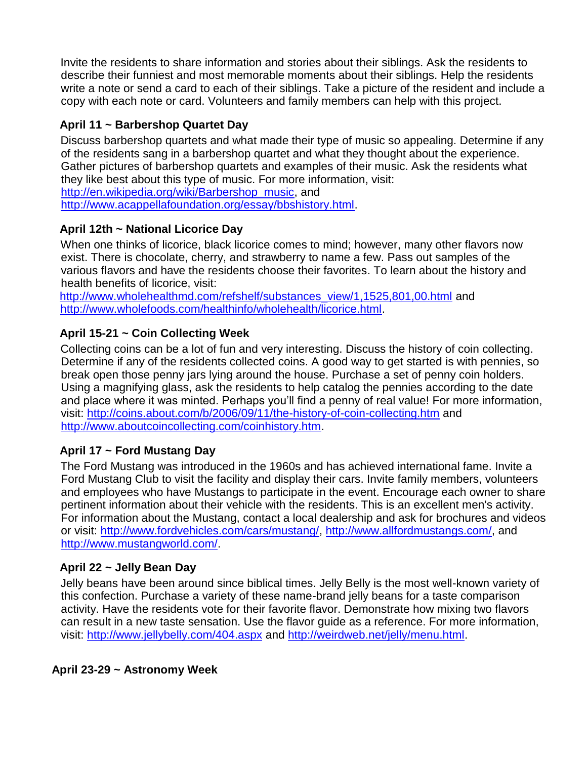Invite the residents to share information and stories about their siblings. Ask the residents to describe their funniest and most memorable moments about their siblings. Help the residents write a note or send a card to each of their siblings. Take a picture of the resident and include a copy with each note or card. Volunteers and family members can help with this project.

## **April 11 ~ Barbershop Quartet Day**

Discuss barbershop quartets and what made their type of music so appealing. Determine if any of the residents sang in a barbershop quartet and what they thought about the experience. Gather pictures of barbershop quartets and examples of their music. Ask the residents what they like best about this type of music. For more information, visit: [http://en.wikipedia.org/wiki/Barbershop\\_music,](http://en.wikipedia.org/wiki/Barbershop_music) and

[http://www.acappellafoundation.org/essay/bbshistory.html.](http://www.acappellafoundation.org/essay/bbshistory.html)

## **April 12th ~ National Licorice Day**

When one thinks of licorice, black licorice comes to mind; however, many other flavors now exist. There is chocolate, cherry, and strawberry to name a few. Pass out samples of the various flavors and have the residents choose their favorites. To learn about the history and health benefits of licorice, visit:

[http://www.wholehealthmd.com/refshelf/substances\\_view/1,1525,801,00.html](http://www.wholehealthmd.com/refshelf/substances_view/1,1525,801,00.html) and [http://www.wholefoods.com/healthinfo/wholehealth/licorice.html.](http://www.wholefoods.com/healthinfo/wholehealth/licorice.html)

## **April 15-21 ~ Coin Collecting Week**

Collecting coins can be a lot of fun and very interesting. Discuss the history of coin collecting. Determine if any of the residents collected coins. A good way to get started is with pennies, so break open those penny jars lying around the house. Purchase a set of penny coin holders. Using a magnifying glass, ask the residents to help catalog the pennies according to the date and place where it was minted. Perhaps you'll find a penny of real value! For more information, visit:<http://coins.about.com/b/2006/09/11/the-history-of-coin-collecting.htm> and [http://www.aboutcoincollecting.com/coinhistory.htm.](http://www.aboutcoincollecting.com/coinhistory.htm)

## **April 17 ~ Ford Mustang Day**

The Ford Mustang was introduced in the 1960s and has achieved international fame. Invite a Ford Mustang Club to visit the facility and display their cars. Invite family members, volunteers and employees who have Mustangs to participate in the event. Encourage each owner to share pertinent information about their vehicle with the residents. This is an excellent men's activity. For information about the Mustang, contact a local dealership and ask for brochures and videos or visit: [http://www.fordvehicles.com/cars/mustang/,](http://www.fordvehicles.com/cars/mustang/) [http://www.allfordmustangs.com/,](http://www.allfordmustangs.com/) and [http://www.mustangworld.com/.](http://www.mustangworld.com/)

## **April 22 ~ Jelly Bean Day**

Jelly beans have been around since biblical times. Jelly Belly is the most well-known variety of this confection. Purchase a variety of these name-brand jelly beans for a taste comparison activity. Have the residents vote for their favorite flavor. Demonstrate how mixing two flavors can result in a new taste sensation. Use the flavor guide as a reference. For more information, visit:<http://www.jellybelly.com/404.aspx> and [http://weirdweb.net/jelly/menu.html.](http://weirdweb.net/jelly/menu.html)

**April 23-29 ~ Astronomy Week**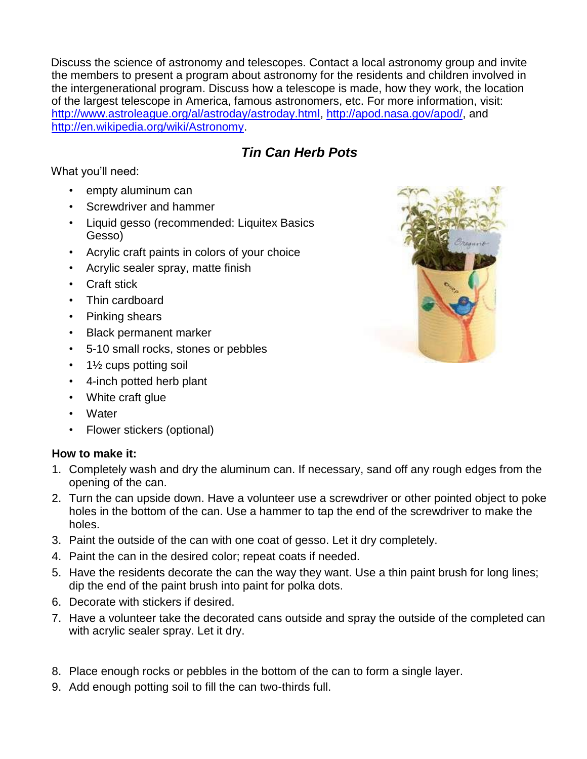Discuss the science of astronomy and telescopes. Contact a local astronomy group and invite the members to present a program about astronomy for the residents and children involved in the intergenerational program. Discuss how a telescope is made, how they work, the location of the largest telescope in America, famous astronomers, etc. For more information, visit: [http://www.astroleague.org/al/astroday/astroday.html,](http://www.astroleague.org/al/astroday/astroday.html) [http://apod.nasa.gov/apod/,](http://apod.nasa.gov/apod/) and [http://en.wikipedia.org/wiki/Astronomy.](http://en.wikipedia.org/wiki/Astronomy)

## *Tin Can Herb Pots*

What you'll need:

- empty aluminum can
- Screwdriver and hammer
- Liquid gesso (recommended: Liquitex Basics Gesso)
- Acrylic craft paints in colors of your choice
- Acrylic sealer spray, matte finish
- Craft stick
- Thin cardboard
- Pinking shears
- Black permanent marker
- 5-10 small rocks, stones or pebbles
- 1½ cups potting soil
- 4-inch potted herb plant
- White craft glue
- Water
- Flower stickers (optional)

#### **How to make it:**

- 1. Completely wash and dry the aluminum can. If necessary, sand off any rough edges from the opening of the can.
- 2. Turn the can upside down. Have a volunteer use a screwdriver or other pointed object to poke holes in the bottom of the can. Use a hammer to tap the end of the screwdriver to make the holes.
- 3. Paint the outside of the can with one coat of gesso. Let it dry completely.
- 4. Paint the can in the desired color; repeat coats if needed.
- 5. Have the residents decorate the can the way they want. Use a thin paint brush for long lines; dip the end of the paint brush into paint for polka dots.
- 6. Decorate with stickers if desired.
- 7. Have a volunteer take the decorated cans outside and spray the outside of the completed can with acrylic sealer spray. Let it dry.
- 8. Place enough rocks or pebbles in the bottom of the can to form a single layer.
- 9. Add enough potting soil to fill the can two-thirds full.